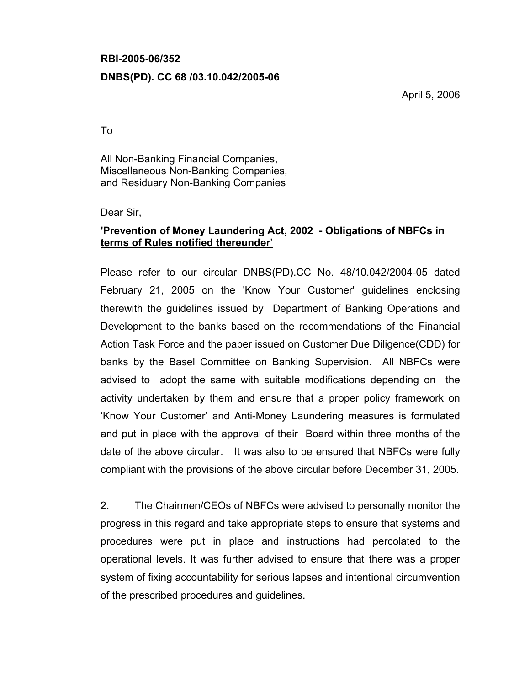#### RBI-2005-06/352

## DNBS(PD). CC 68 /03.10.042/2005-06

April 5, 2006

To

All Non-Banking Financial Companies, Miscellaneous Non-Banking Companies, and Residuary Non-Banking Companies

Dear Sir,

# 'Prevention of Money Laundering Act, 2002 - Obligations of NBFCs in terms of Rules notified thereunder'

Please refer to our circular DNBS(PD).CC No. 48/10.042/2004-05 dated February 21, 2005 on the 'Know Your Customer' guidelines enclosing therewith the guidelines issued by Department of Banking Operations and Development to the banks based on the recommendations of the Financial Action Task Force and the paper issued on Customer Due Diligence(CDD) for banks by the Basel Committee on Banking Supervision. All NBFCs were advised to adopt the same with suitable modifications depending on the activity undertaken by them and ensure that a proper policy framework on 'Know Your Customer' and Anti-Money Laundering measures is formulated and put in place with the approval of their Board within three months of the date of the above circular. It was also to be ensured that NBFCs were fully compliant with the provisions of the above circular before December 31, 2005.

2. The Chairmen/CEOs of NBFCs were advised to personally monitor the progress in this regard and take appropriate steps to ensure that systems and procedures were put in place and instructions had percolated to the operational levels. It was further advised to ensure that there was a proper system of fixing accountability for serious lapses and intentional circumvention of the prescribed procedures and guidelines.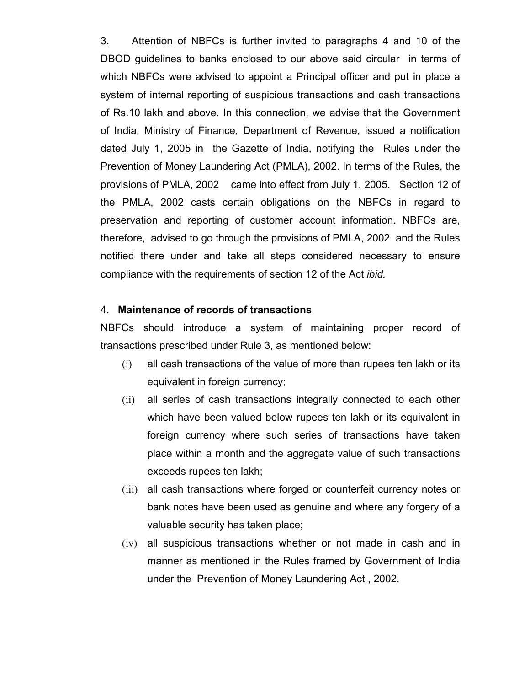3. Attention of NBFCs is further invited to paragraphs 4 and 10 of the DBOD guidelines to banks enclosed to our above said circular in terms of which NBFCs were advised to appoint a Principal officer and put in place a system of internal reporting of suspicious transactions and cash transactions of Rs.10 lakh and above. In this connection, we advise that the Government of India, Ministry of Finance, Department of Revenue, issued a notification dated July 1, 2005 in the Gazette of India, notifying the Rules under the Prevention of Money Laundering Act (PMLA), 2002. In terms of the Rules, the provisions of PMLA, 2002 came into effect from July 1, 2005. Section 12 of the PMLA, 2002 casts certain obligations on the NBFCs in regard to preservation and reporting of customer account information. NBFCs are, therefore, advised to go through the provisions of PMLA, 2002 and the Rules notified there under and take all steps considered necessary to ensure compliance with the requirements of section 12 of the Act ibid.

#### 4. Maintenance of records of transactions

NBFCs should introduce a system of maintaining proper record of transactions prescribed under Rule 3, as mentioned below:

- (i) all cash transactions of the value of more than rupees ten lakh or its equivalent in foreign currency;
- (ii) all series of cash transactions integrally connected to each other which have been valued below rupees ten lakh or its equivalent in foreign currency where such series of transactions have taken place within a month and the aggregate value of such transactions exceeds rupees ten lakh;
- (iii) all cash transactions where forged or counterfeit currency notes or bank notes have been used as genuine and where any forgery of a valuable security has taken place;
- (iv) all suspicious transactions whether or not made in cash and in manner as mentioned in the Rules framed by Government of India under the Prevention of Money Laundering Act , 2002.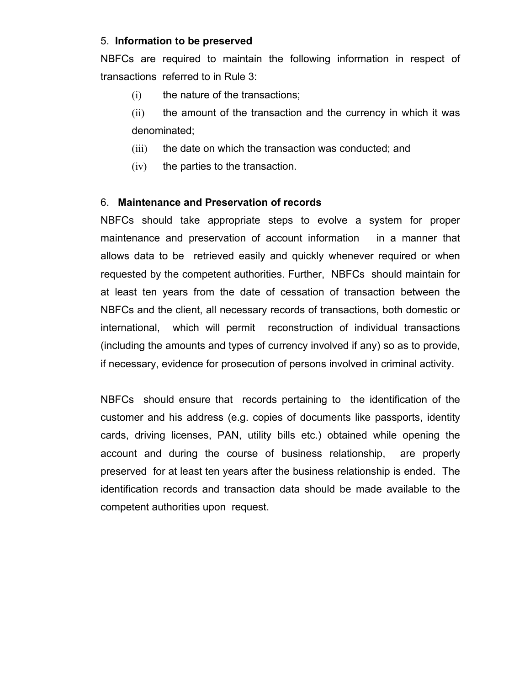## 5. Information to be preserved

NBFCs are required to maintain the following information in respect of transactions referred to in Rule 3:

- (i) the nature of the transactions;
- (ii) the amount of the transaction and the currency in which it was denominated;
- (iii) the date on which the transaction was conducted; and
- (iv) the parties to the transaction.

# 6. Maintenance and Preservation of records

NBFCs should take appropriate steps to evolve a system for proper maintenance and preservation of account information in a manner that allows data to be retrieved easily and quickly whenever required or when requested by the competent authorities. Further, NBFCs should maintain for at least ten years from the date of cessation of transaction between the NBFCs and the client, all necessary records of transactions, both domestic or international, which will permit reconstruction of individual transactions (including the amounts and types of currency involved if any) so as to provide, if necessary, evidence for prosecution of persons involved in criminal activity.

NBFCs should ensure that records pertaining to the identification of the customer and his address (e.g. copies of documents like passports, identity cards, driving licenses, PAN, utility bills etc.) obtained while opening the account and during the course of business relationship, are properly preserved for at least ten years after the business relationship is ended. The identification records and transaction data should be made available to the competent authorities upon request.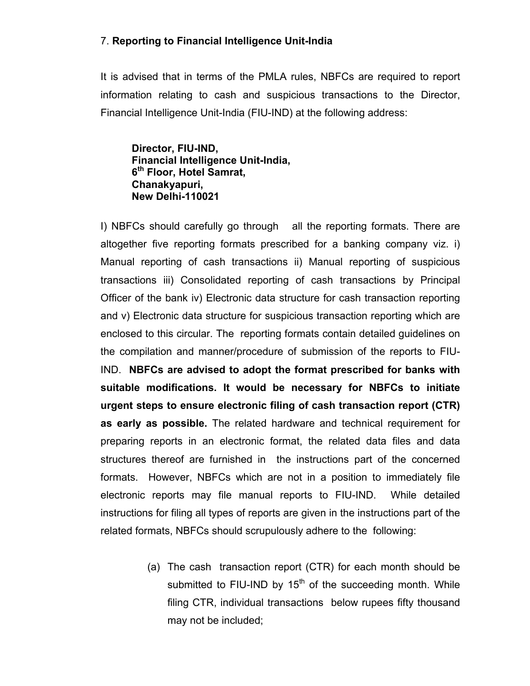## 7. Reporting to Financial Intelligence Unit-India

It is advised that in terms of the PMLA rules, NBFCs are required to report information relating to cash and suspicious transactions to the Director, Financial Intelligence Unit-India (FIU-IND) at the following address:

Director, FIU-IND, Financial Intelligence Unit-India, 6<sup>th</sup> Floor, Hotel Samrat, Chanakyapuri, New Delhi-110021

I) NBFCs should carefully go through all the reporting formats. There are altogether five reporting formats prescribed for a banking company viz. i) Manual reporting of cash transactions ii) Manual reporting of suspicious transactions iii) Consolidated reporting of cash transactions by Principal Officer of the bank iv) Electronic data structure for cash transaction reporting and v) Electronic data structure for suspicious transaction reporting which are enclosed to this circular. The reporting formats contain detailed guidelines on the compilation and manner/procedure of submission of the reports to FIU-IND. NBFCs are advised to adopt the format prescribed for banks with suitable modifications. It would be necessary for NBFCs to initiate urgent steps to ensure electronic filing of cash transaction report (CTR) as early as possible. The related hardware and technical requirement for preparing reports in an electronic format, the related data files and data structures thereof are furnished in the instructions part of the concerned formats. However, NBFCs which are not in a position to immediately file electronic reports may file manual reports to FIU-IND. While detailed instructions for filing all types of reports are given in the instructions part of the related formats, NBFCs should scrupulously adhere to the following:

> (a) The cash transaction report (CTR) for each month should be submitted to FIU-IND by  $15<sup>th</sup>$  of the succeeding month. While filing CTR, individual transactions below rupees fifty thousand may not be included;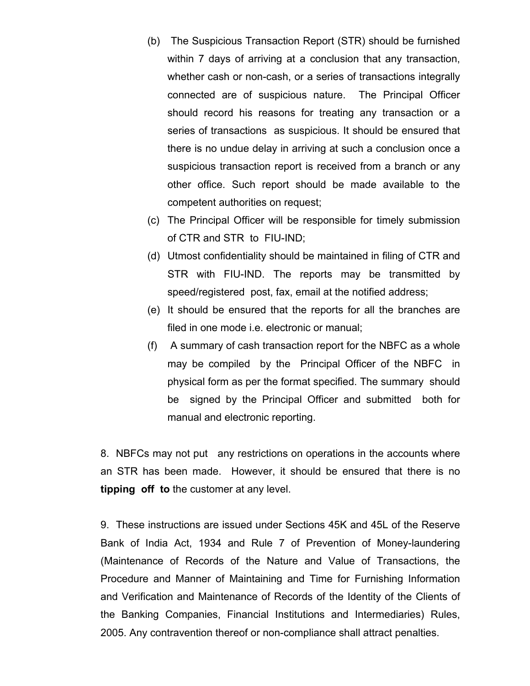- (b) The Suspicious Transaction Report (STR) should be furnished within 7 days of arriving at a conclusion that any transaction, whether cash or non-cash, or a series of transactions integrally connected are of suspicious nature. The Principal Officer should record his reasons for treating any transaction or a series of transactions as suspicious. It should be ensured that there is no undue delay in arriving at such a conclusion once a suspicious transaction report is received from a branch or any other office. Such report should be made available to the competent authorities on request;
- (c) The Principal Officer will be responsible for timely submission of CTR and STR to FIU-IND;
- (d) Utmost confidentiality should be maintained in filing of CTR and STR with FIU-IND. The reports may be transmitted by speed/registered post, fax, email at the notified address;
- (e) It should be ensured that the reports for all the branches are filed in one mode i.e. electronic or manual;
- (f) A summary of cash transaction report for the NBFC as a whole may be compiled by the Principal Officer of the NBFC in physical form as per the format specified. The summary should be signed by the Principal Officer and submitted both for manual and electronic reporting.

8. NBFCs may not put any restrictions on operations in the accounts where an STR has been made. However, it should be ensured that there is no tipping off to the customer at any level.

9. These instructions are issued under Sections 45K and 45L of the Reserve Bank of India Act, 1934 and Rule 7 of Prevention of Money-laundering (Maintenance of Records of the Nature and Value of Transactions, the Procedure and Manner of Maintaining and Time for Furnishing Information and Verification and Maintenance of Records of the Identity of the Clients of the Banking Companies, Financial Institutions and Intermediaries) Rules, 2005. Any contravention thereof or non-compliance shall attract penalties.